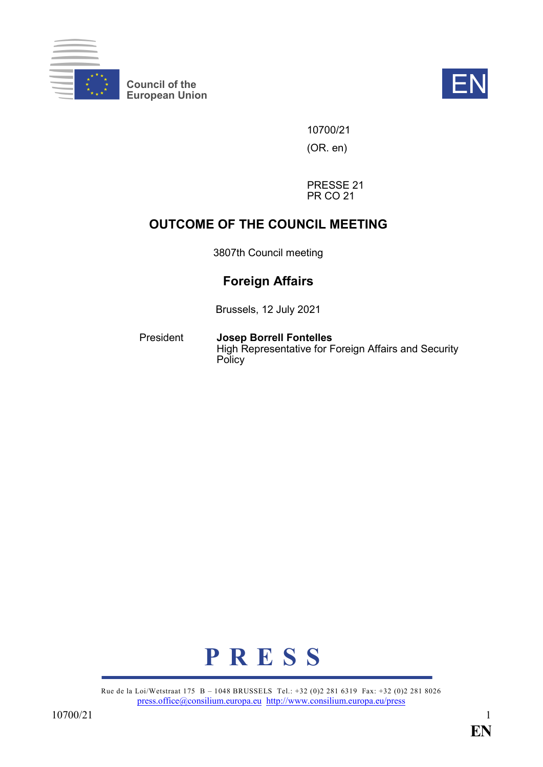

**Council of the EXECUTE:**<br>
European Union



10700/21

(OR. en)

PRESSE 21 PR CO 21

# **OUTCOME OF THE COUNCIL MEETING**

3807th Council meeting

# **Foreign Affairs**

Brussels, 12 July 2021

President **Josep Borrell Fontelles** High Representative for Foreign Affairs and Security **Policy** 



Rue de la Loi/Wetstraat 175 B – 1048 BRUSSELS Tel.: +32 (0)2 281 6319 Fax: +32 (0)2 281 8026 [press.office@consilium.europa.eu](mailto:press.office@consilium.europa.eu) <http://www.consilium.europa.eu/press>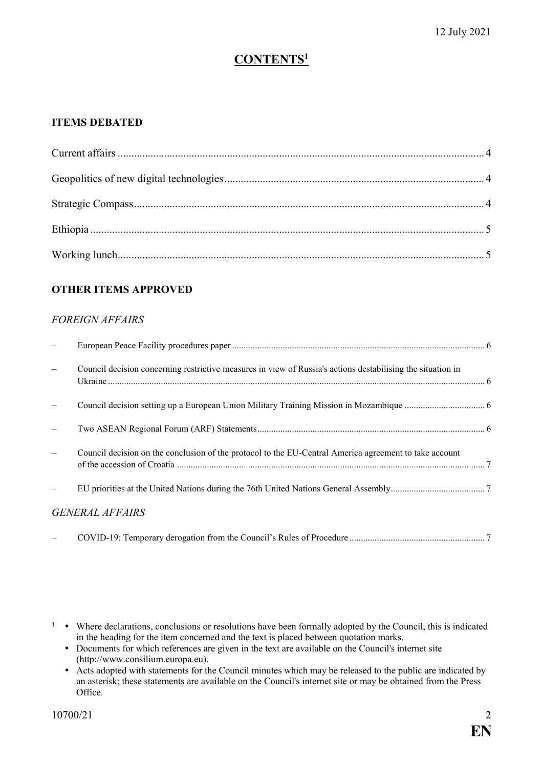# **CONTENTS<sup>1</sup>**

### **ITEMS DEBATED**

# **OTHER ITEMS APPROVED**

#### *FOREIGN AFFAIRS*

| Council decision concerning restrictive measures in view of Russia's actions destabilising the situation in |  |
|-------------------------------------------------------------------------------------------------------------|--|
|                                                                                                             |  |
|                                                                                                             |  |
| Council decision on the conclusion of the protocol to the EU-Central America agreement to take account      |  |
|                                                                                                             |  |
| <b>GENERAL AFFAIRS</b>                                                                                      |  |
|                                                                                                             |  |

<sup>1</sup> • Where declarations, conclusions or resolutions have been formally adopted by the Council, this is indicated in the heading for the item concerned and the text is placed between quotation marks.

- Documents for which references are given in the text are available on the Council's internet site (http://www.consilium.europa.eu).
- Acts adopted with statements for the Council minutes which may be released to the public are indicated by an asterisk; these statements are available on the Council's internet site or may be obtained from the Press Office.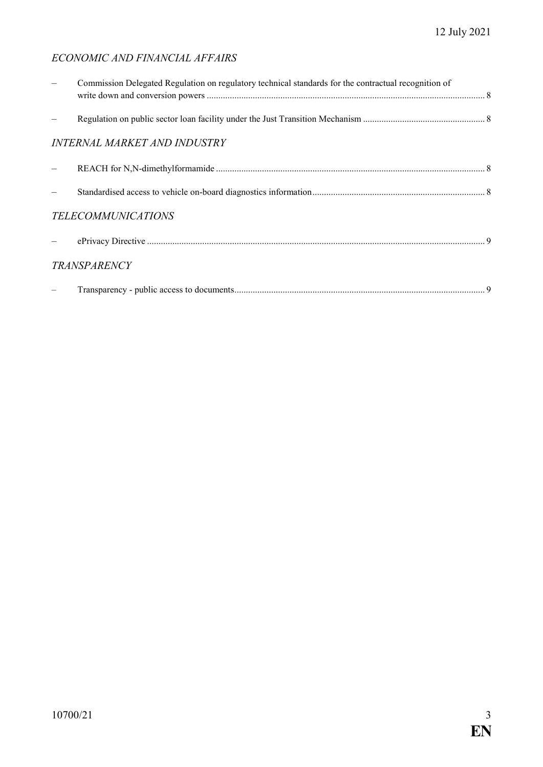# *ECONOMIC AND FINANCIAL AFFAIRS*

| Commission Delegated Regulation on regulatory technical standards for the contractual recognition of |  |
|------------------------------------------------------------------------------------------------------|--|
|                                                                                                      |  |
| <b>INTERNAL MARKET AND INDUSTRY</b>                                                                  |  |
|                                                                                                      |  |
|                                                                                                      |  |
| <b>TELECOMMUNICATIONS</b>                                                                            |  |
|                                                                                                      |  |
| <b>TRANSPARENCY</b>                                                                                  |  |
|                                                                                                      |  |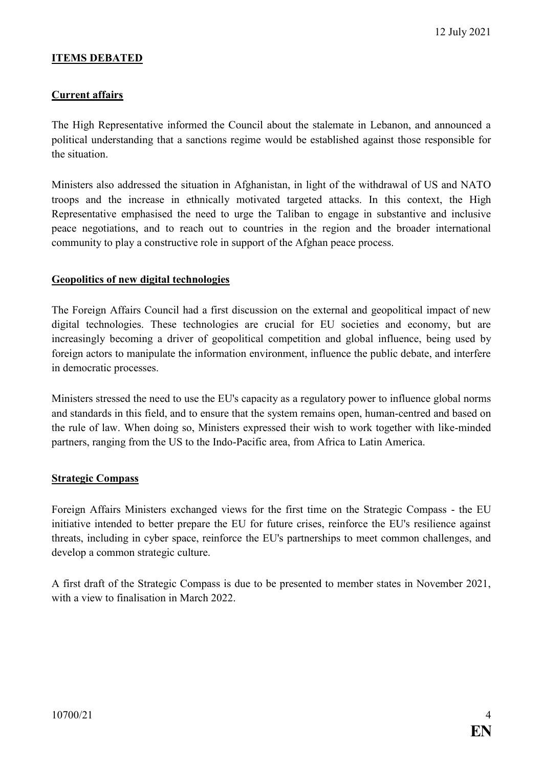#### **ITEMS DEBATED**

#### <span id="page-3-0"></span>**Current affairs**

The High Representative informed the Council about the stalemate in Lebanon, and announced a political understanding that a sanctions regime would be established against those responsible for the situation.

Ministers also addressed the situation in Afghanistan, in light of the withdrawal of US and NATO troops and the increase in ethnically motivated targeted attacks. In this context, the High Representative emphasised the need to urge the Taliban to engage in substantive and inclusive peace negotiations, and to reach out to countries in the region and the broader international community to play a constructive role in support of the Afghan peace process.

#### <span id="page-3-1"></span>**Geopolitics of new digital technologies**

The Foreign Affairs Council had a first discussion on the external and geopolitical impact of new digital technologies. These technologies are crucial for EU societies and economy, but are increasingly becoming a driver of geopolitical competition and global influence, being used by foreign actors to manipulate the information environment, influence the public debate, and interfere in democratic processes.

Ministers stressed the need to use the EU's capacity as a regulatory power to influence global norms and standards in this field, and to ensure that the system remains open, human-centred and based on the rule of law. When doing so, Ministers expressed their wish to work together with like-minded partners, ranging from the US to the Indo-Pacific area, from Africa to Latin America.

#### <span id="page-3-2"></span>**Strategic Compass**

Foreign Affairs Ministers exchanged views for the first time on the Strategic Compass - the EU initiative intended to better prepare the EU for future crises, reinforce the EU's resilience against threats, including in cyber space, reinforce the EU's partnerships to meet common challenges, and develop a common strategic culture.

A first draft of the Strategic Compass is due to be presented to member states in November 2021, with a view to finalisation in March 2022.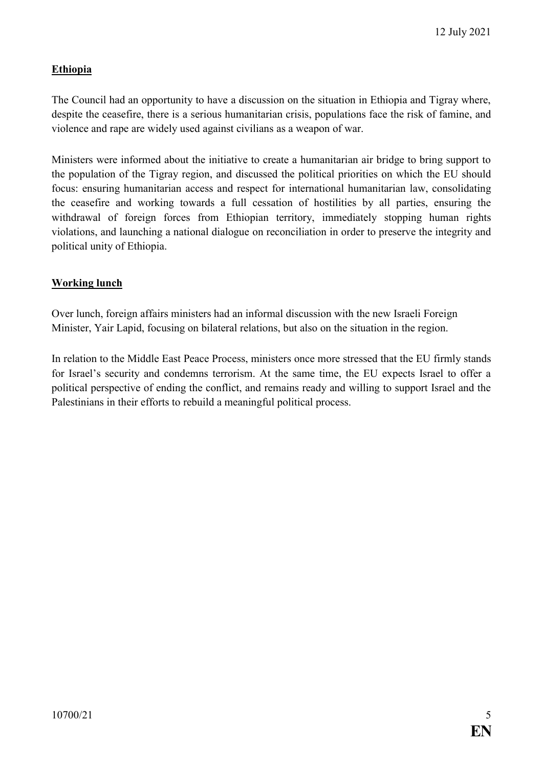# <span id="page-4-0"></span>**Ethiopia**

The Council had an opportunity to have a discussion on the situation in Ethiopia and Tigray where, despite the ceasefire, there is a serious humanitarian crisis, populations face the risk of famine, and violence and rape are widely used against civilians as a weapon of war.

Ministers were informed about the initiative to create a humanitarian air bridge to bring support to the population of the Tigray region, and discussed the political priorities on which the EU should focus: ensuring humanitarian access and respect for international humanitarian law, consolidating the ceasefire and working towards a full cessation of hostilities by all parties, ensuring the withdrawal of foreign forces from Ethiopian territory, immediately stopping human rights violations, and launching a national dialogue on reconciliation in order to preserve the integrity and political unity of Ethiopia.

# <span id="page-4-1"></span>**Working lunch**

Over lunch, foreign affairs ministers had an informal discussion with the new Israeli Foreign Minister, Yair Lapid, focusing on bilateral relations, but also on the situation in the region.

In relation to the Middle East Peace Process, ministers once more stressed that the EU firmly stands for Israel's security and condemns terrorism. At the same time, the EU expects Israel to offer a political perspective of ending the conflict, and remains ready and willing to support Israel and the Palestinians in their efforts to rebuild a meaningful political process.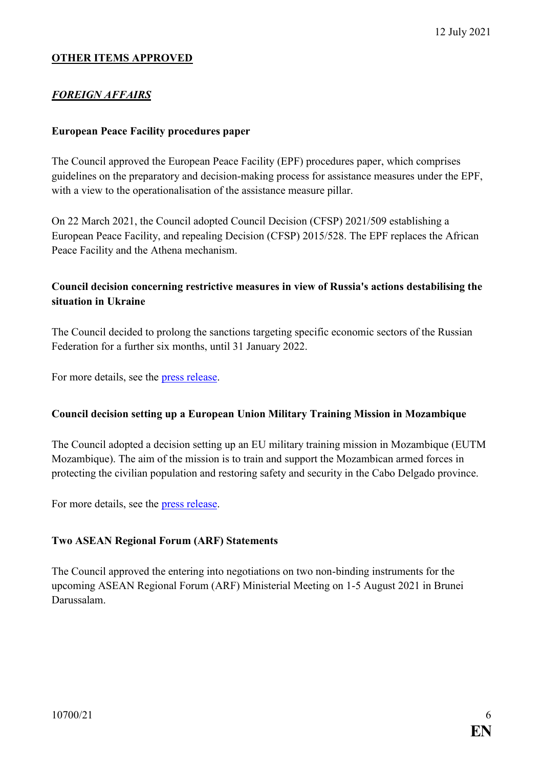#### **OTHER ITEMS APPROVED**

### *FOREIGN AFFAIRS*

#### <span id="page-5-0"></span>**European Peace Facility procedures paper**

The Council approved the European Peace Facility (EPF) procedures paper, which comprises guidelines on the preparatory and decision-making process for assistance measures under the EPF, with a view to the operationalisation of the assistance measure pillar.

On 22 March 2021, the Council adopted Council Decision (CFSP) 2021/509 establishing a European Peace Facility, and repealing Decision (CFSP) 2015/528. The EPF replaces the African Peace Facility and the Athena mechanism.

### <span id="page-5-1"></span>**Council decision concerning restrictive measures in view of Russia's actions destabilising the situation in Ukraine**

The Council decided to prolong the sanctions targeting specific economic sectors of the Russian Federation for a further six months, until 31 January 2022.

For more details, see the [press release.](https://www.consilium.europa.eu/en/press/press-releases/2021/07/12/russia-eu-prolongs-economic-sanctions-over-the-destabilisation-of-ukraine-by-six-months/)

#### <span id="page-5-2"></span>**Council decision setting up a European Union Military Training Mission in Mozambique**

The Council adopted a decision setting up an EU military training mission in Mozambique (EUTM Mozambique). The aim of the mission is to train and support the Mozambican armed forces in protecting the civilian population and restoring safety and security in the Cabo Delgado province.

For more details, see the [press release.](https://www.consilium.europa.eu/en/press/press-releases/2021/07/12/mozambique-eu-launches-a-military-training-mission-to-help-address-the-crisis-in-cabo-delgado/)

#### <span id="page-5-3"></span>**Two ASEAN Regional Forum (ARF) Statements**

The Council approved the entering into negotiations on two non-binding instruments for the upcoming ASEAN Regional Forum (ARF) Ministerial Meeting on 1-5 August 2021 in Brunei Darussalam.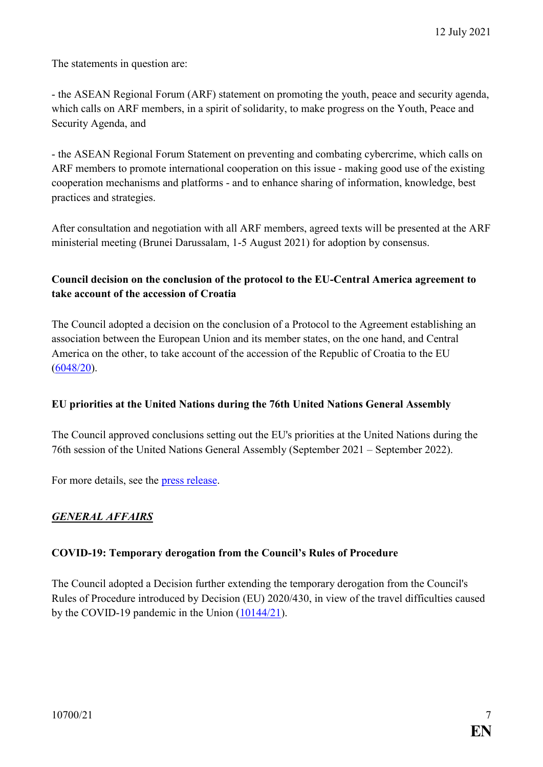The statements in question are:

- the ASEAN Regional Forum (ARF) statement on promoting the youth, peace and security agenda, which calls on ARF members, in a spirit of solidarity, to make progress on the Youth, Peace and Security Agenda, and

- the ASEAN Regional Forum Statement on preventing and combating cybercrime, which calls on ARF members to promote international cooperation on this issue - making good use of the existing cooperation mechanisms and platforms - and to enhance sharing of information, knowledge, best practices and strategies.

After consultation and negotiation with all ARF members, agreed texts will be presented at the ARF ministerial meeting (Brunei Darussalam, 1-5 August 2021) for adoption by consensus.

# <span id="page-6-0"></span>**Council decision on the conclusion of the protocol to the EU-Central America agreement to take account of the accession of Croatia**

The Council adopted a decision on the conclusion of a Protocol to the Agreement establishing an association between the European Union and its member states, on the one hand, and Central America on the other, to take account of the accession of the Republic of Croatia to the EU [\(6048/20\)](https://data.consilium.europa.eu/doc/document/ST-6048-2020-INIT/en/pdf).

#### <span id="page-6-1"></span>**EU priorities at the United Nations during the 76th United Nations General Assembly**

The Council approved conclusions setting out the EU's priorities at the United Nations during the 76th session of the United Nations General Assembly (September 2021 – September 2022).

For more details, see the [press release.](https://www.consilium.europa.eu/en/press/press-releases/2021/07/12/eu-priorities-at-the-76th-united-nations-general-assembly/)

# *GENERAL AFFAIRS*

#### <span id="page-6-2"></span>**COVID-19: Temporary derogation from the Council's Rules of Procedure**

The Council adopted a Decision further extending the temporary derogation from the Council's Rules of Procedure introduced by Decision (EU) 2020/430, in view of the travel difficulties caused by the COVID-19 pandemic in the Union [\(10144/21\)](https://data.consilium.europa.eu/doc/document/ST-10144-2021-INIT/en/pdf).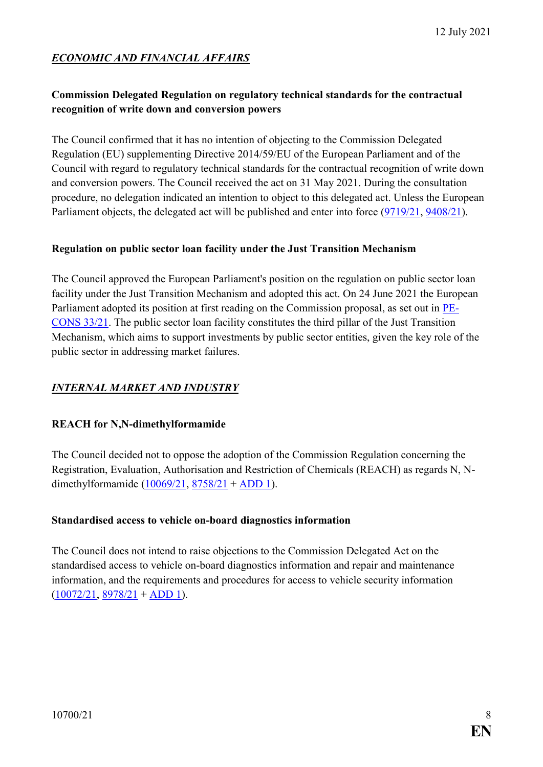# *ECONOMIC AND FINANCIAL AFFAIRS*

# <span id="page-7-0"></span>**Commission Delegated Regulation on regulatory technical standards for the contractual recognition of write down and conversion powers**

The Council confirmed that it has no intention of objecting to the Commission Delegated Regulation (EU) supplementing Directive 2014/59/EU of the European Parliament and of the Council with regard to regulatory technical standards for the contractual recognition of write down and conversion powers. The Council received the act on 31 May 2021. During the consultation procedure, no delegation indicated an intention to object to this delegated act. Unless the European Parliament objects, the delegated act will be published and enter into force [\(9719/21,](https://data.consilium.europa.eu/doc/document/ST-9719-2021-INIT/en/pdf) [9408/21\)](https://data.consilium.europa.eu/doc/document/ST-9408-2021-INIT/en/pdf).

#### <span id="page-7-1"></span>**Regulation on public sector loan facility under the Just Transition Mechanism**

The Council approved the European Parliament's position on the regulation on public sector loan facility under the Just Transition Mechanism and adopted this act. On 24 June 2021 the European Parliament adopted its position at first reading on the Commission proposal, as set out in [PE-](https://data.consilium.europa.eu/doc/document/PE-33-2021-INIT/en/pdf)[CONS](https://data.consilium.europa.eu/doc/document/PE-33-2021-INIT/en/pdf) 33/21. The public sector loan facility constitutes the third pillar of the Just Transition Mechanism, which aims to support investments by public sector entities, given the key role of the public sector in addressing market failures.

# *INTERNAL MARKET AND INDUSTRY*

#### <span id="page-7-2"></span>**REACH for N,N-dimethylformamide**

The Council decided not to oppose the adoption of the Commission Regulation concerning the Registration, Evaluation, Authorisation and Restriction of Chemicals (REACH) as regards N, Ndimethylformamide [\(10069/21,](https://data.consilium.europa.eu/doc/document/ST-10069-2021-INIT/en/pdf) [8758/21](https://data.consilium.europa.eu/doc/document/ST-8758-2021-INIT/en/pdf) + [ADD 1\)](https://data.consilium.europa.eu/doc/document/ST-8758-2021-ADD-1/en/pdf).

#### <span id="page-7-3"></span>**Standardised access to vehicle on-board diagnostics information**

The Council does not intend to raise objections to the Commission Delegated Act on the standardised access to vehicle on-board diagnostics information and repair and maintenance information, and the requirements and procedures for access to vehicle security information  $(10072/21, 8978/21 + ADD 1).$  $(10072/21, 8978/21 + ADD 1).$  $(10072/21, 8978/21 + ADD 1).$  $(10072/21, 8978/21 + ADD 1).$  $(10072/21, 8978/21 + ADD 1).$  $(10072/21, 8978/21 + ADD 1).$